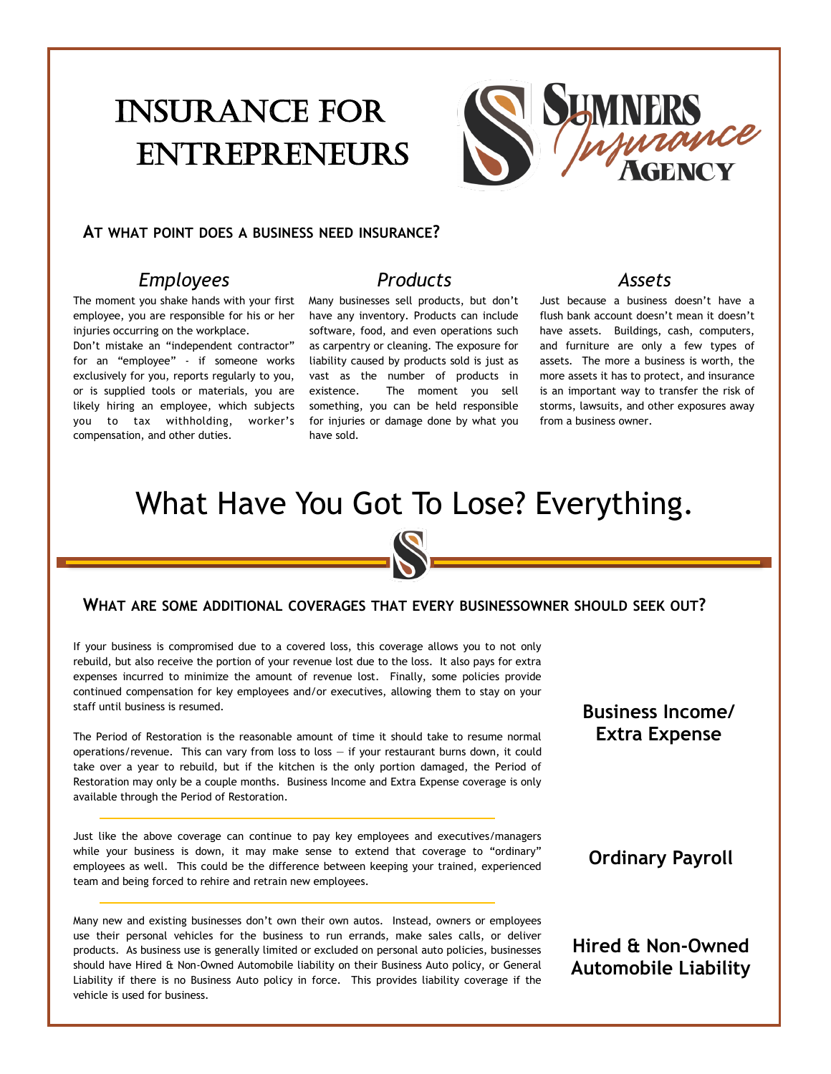# Insurance for **ENTREPRENEURS**



#### **AT WHAT POINT DOES A BUSINESS NEED INSURANCE?**

#### *Employees*

The moment you shake hands with your first employee, you are responsible for his or her injuries occurring on the workplace.

Don't mistake an "independent contractor" for an "employee" - if someone works exclusively for you, reports regularly to you, or is supplied tools or materials, you are likely hiring an employee, which subjects you to tax withholding, worker's compensation, and other duties.

## *Products*

Many businesses sell products, but don't have any inventory. Products can include software, food, and even operations such as carpentry or cleaning. The exposure for liability caused by products sold is just as vast as the number of products in existence. The moment you sell something, you can be held responsible for injuries or damage done by what you have sold.

#### *Assets*

Just because a business doesn't have a flush bank account doesn't mean it doesn't have assets. Buildings, cash, computers, and furniture are only a few types of assets. The more a business is worth, the more assets it has to protect, and insurance is an important way to transfer the risk of storms, lawsuits, and other exposures away from a business owner.

## What Have You Got To Lose? Everything.

#### **WHAT ARE SOME ADDITIONAL COVERAGES THAT EVERY BUSINESSOWNER SHOULD SEEK OUT?**

If your business is compromised due to a covered loss, this coverage allows you to not only rebuild, but also receive the portion of your revenue lost due to the loss. It also pays for extra expenses incurred to minimize the amount of revenue lost. Finally, some policies provide continued compensation for key employees and/or executives, allowing them to stay on your staff until business is resumed.

The Period of Restoration is the reasonable amount of time it should take to resume normal operations/revenue. This can vary from loss to loss  $-$  if your restaurant burns down, it could take over a year to rebuild, but if the kitchen is the only portion damaged, the Period of Restoration may only be a couple months. Business Income and Extra Expense coverage is only available through the Period of Restoration.

Just like the above coverage can continue to pay key employees and executives/managers while your business is down, it may make sense to extend that coverage to "ordinary" employees as well. This could be the difference between keeping your trained, experienced team and being forced to rehire and retrain new employees.

Many new and existing businesses don't own their own autos. Instead, owners or employees use their personal vehicles for the business to run errands, make sales calls, or deliver products. As business use is generally limited or excluded on personal auto policies, businesses should have Hired & Non-Owned Automobile liability on their Business Auto policy, or General Liability if there is no Business Auto policy in force. This provides liability coverage if the vehicle is used for business.

**Business Income/ Extra Expense**

**Ordinary Payroll**

## **Hired & Non-Owned Automobile Liability**